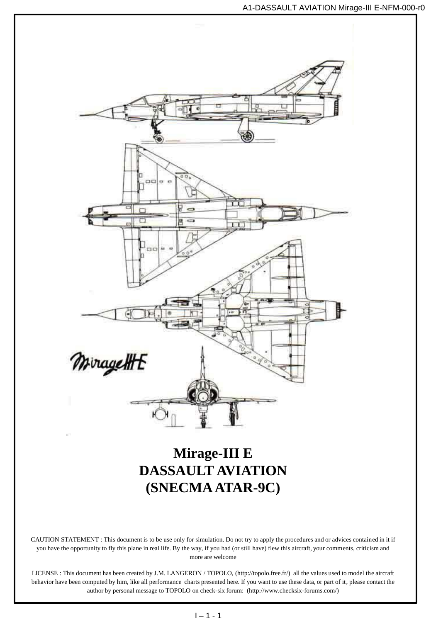

## **Mirage-III E DASSAULT AVIATION (SNECMA ATAR-9C)**

CAUTION STATEMENT : This document is to be use only for simulation. Do not try to apply the procedures and or advices contained in it if you have the opportunity to fly this plane in real life. By the way, if you had (or still have) flew this aircraft, your comments, criticism and more are welcome

LICENSE : This document has been created by J.M. LANGERON / TOPOLO, (http://topolo.free.fr/) all the values used to model the aircraft behavior have been computed by him, like all performance charts presented here. If you want to use these data, or part of it, please contact the author by personal message to TOPOLO on check-six forum: (http://www.checksix-forums.com/)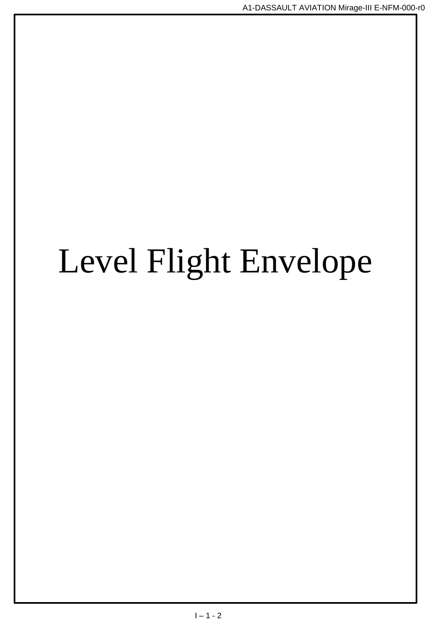# Level Flight Envelope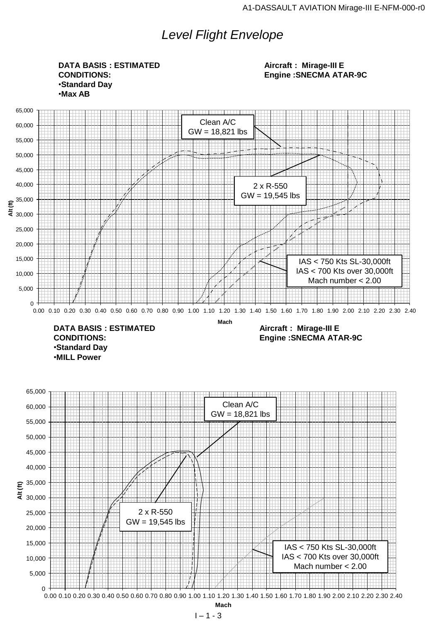## *Level Flight Envelope*

**DATA BASIS : ESTIMATED CONDITIONS:** •**Standard Day** •**Max AB**

**Aircraft : Mirage-III E Engine :SNECMA ATAR-9C**



•**MILL Power**

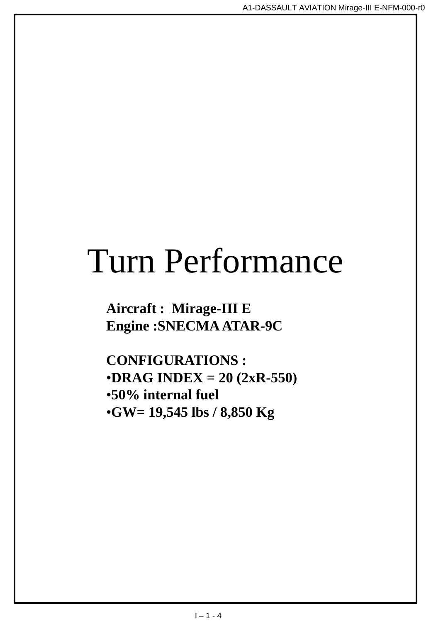## Turn Performance

**Aircraft : Mirage-III E Engine :SNECMA ATAR-9C**

**CONFIGURATIONS :** •**DRAG INDEX = 20 (2xR-550)** •**50% internal fuel** •**GW= 19,545 lbs / 8,850 Kg**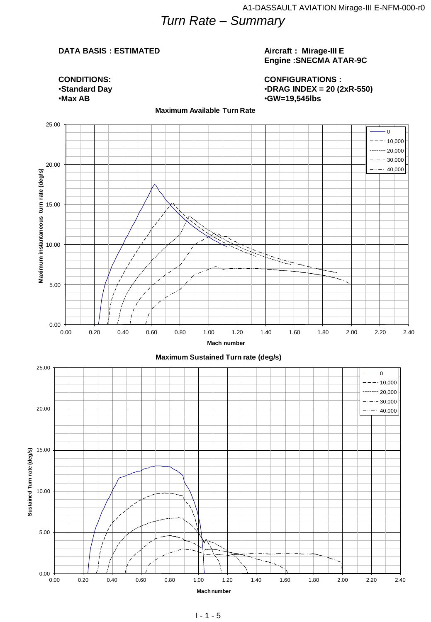## *Turn Rate – Summary*

#### **DATA BASIS : ESTIMATED**

#### **Aircraft : Mirage-III E Engine :SNECMA ATAR-9C**

**CONFIGURATIONS :** •**DRAG INDEX = 20 (2xR-550)** •**GW=19,545lbs**



#### **Maximum Available Turn Rate**

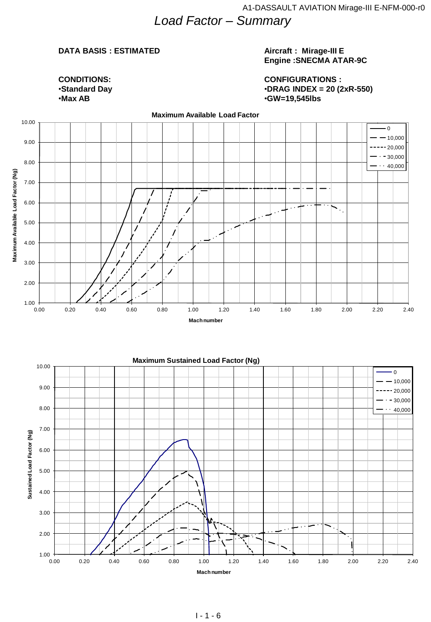*Load Factor – Summary* 

#### **DATA BASIS : ESTIMATED**

#### **Aircraft : Mirage-III E Engine :SNECMA ATAR-9C**

**CONDITIONS:** •**Standard Day** •**Max AB**

**CONFIGURATIONS :** •**DRAG INDEX = 20 (2xR-550)** •**GW=19,545lbs**



**Maximum Sustained Load Factor (Ng)** 

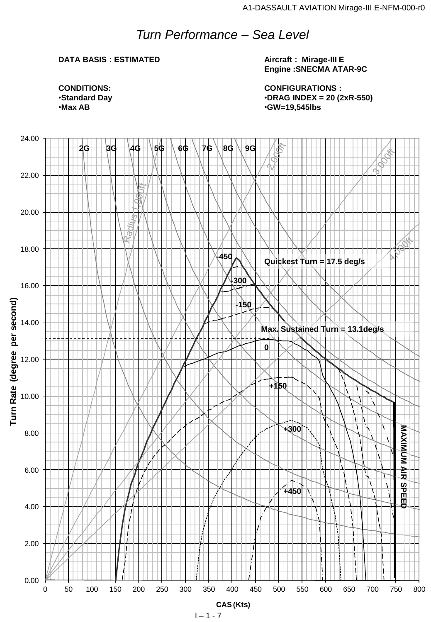## *Turn Performance – Sea Level*

#### **DATA BASIS : ESTIMATED**

**Aircraft : Mirage-III E Engine :SNECMA ATAR-9C**

**CONFIGURATIONS :** •**DRAG INDEX = 20 (2xR-550)** •**GW=19,545lbs**

**CONDITIONS:** •**Standard Day** •**Max AB**

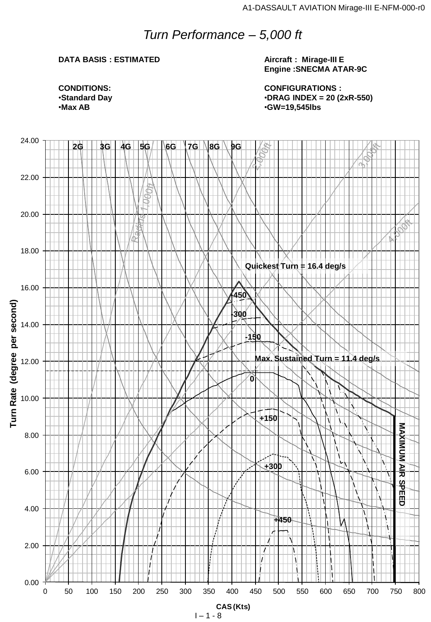## *Turn Performance – 5,000 ft*

#### **DATA BASIS : ESTIMATED**

#### **Aircraft : Mirage-III E Engine :SNECMA ATAR-9C**

**CONFIGURATIONS :** •**DRAG INDEX = 20 (2xR-550)** •**GW=19,545lbs**

**CONDITIONS:** •**Standard Day** •**Max AB**

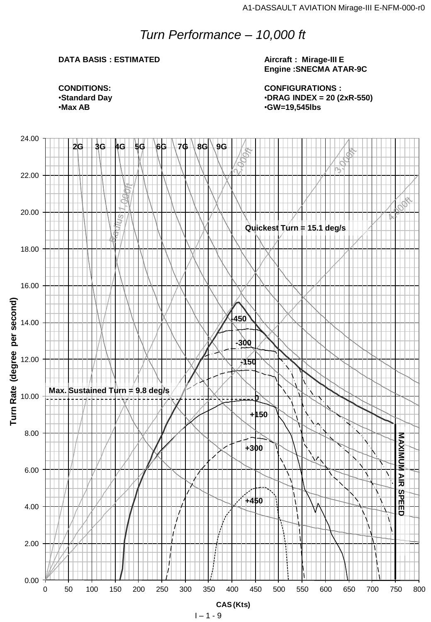## *Turn Performance – 10,000 ft*

#### **DATA BASIS : ESTIMATED**

**Aircraft : Mirage-III E Engine :SNECMA ATAR-9C**

**CONFIGURATIONS :** •**DRAG INDEX = 20 (2xR-550)** •**GW=19,545lbs**

**CONDITIONS:** •**Standard Day** •**Max AB**

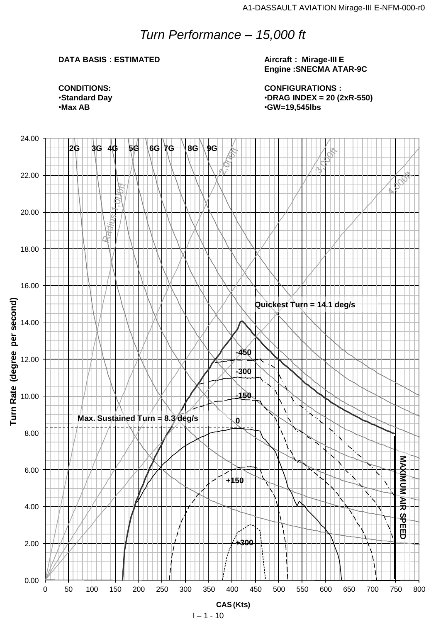## *Turn Performance – 15,000 ft*

#### **DATA BASIS : ESTIMATED**

#### **Aircraft : Mirage-III E Engine :SNECMA ATAR-9C**

**CONFIGURATIONS :** •**DRAG INDEX = 20 (2xR-550)** •**GW=19,545lbs**

**CONDITIONS:** •**Standard Day** •**Max AB**

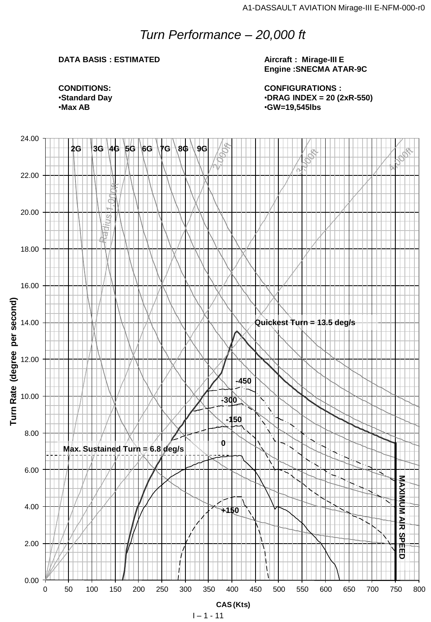## *Turn Performance – 20,000 ft*

#### **DATA BASIS : ESTIMATED**

**Aircraft : Mirage-III E Engine :SNECMA ATAR-9C**

**CONFIGURATIONS :** •**DRAG INDEX = 20 (2xR-550)** •**GW=19,545lbs**

**CONDITIONS:** •**Standard Day** •**Max AB**

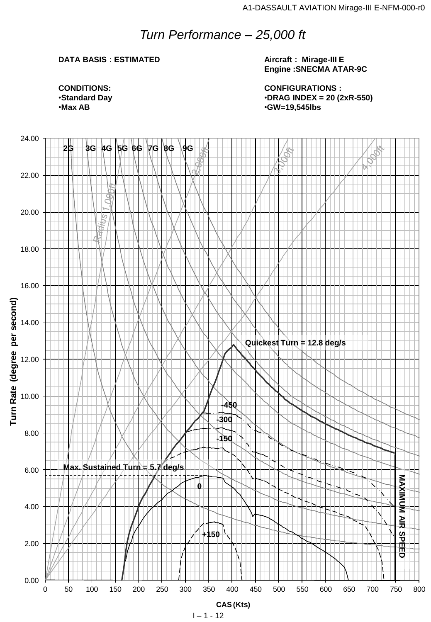## *Turn Performance – 25,000 ft*

#### **DATA BASIS : ESTIMATED**

**Aircraft : Mirage-III E Engine :SNECMA ATAR-9C**

**CONFIGURATIONS :** •**DRAG INDEX = 20 (2xR-550)** •**GW=19,545lbs**

**CONDITIONS:** •**Standard Day** •**Max AB**

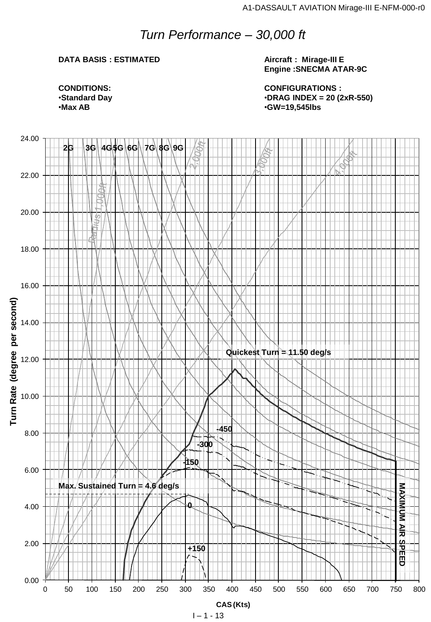## *Turn Performance – 30,000 ft*

#### **DATA BASIS : ESTIMATED**

**Aircraft : Mirage-III E Engine :SNECMA ATAR-9C**

**CONFIGURATIONS :** •**DRAG INDEX = 20 (2xR-550)** •**GW=19,545lbs**

**CONDITIONS:** •**Standard Day** •**Max AB**

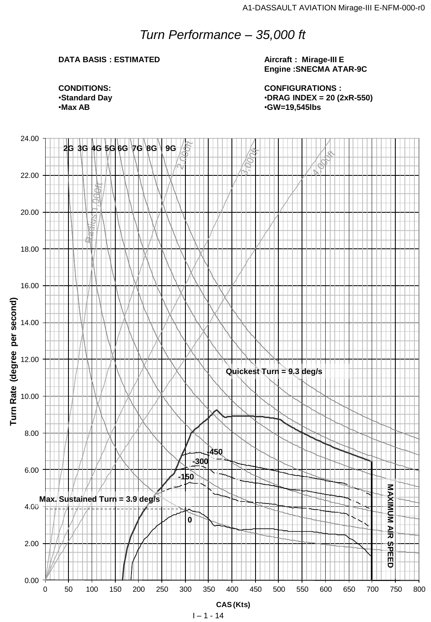## *Turn Performance – 35,000 ft*

#### **DATA BASIS : ESTIMATED**

**Aircraft : Mirage-III E Engine :SNECMA ATAR-9C**

**CONFIGURATIONS :** •**DRAG INDEX = 20 (2xR-550)** •**GW=19,545lbs**

**CONDITIONS:** •**Standard Day** •**Max AB**

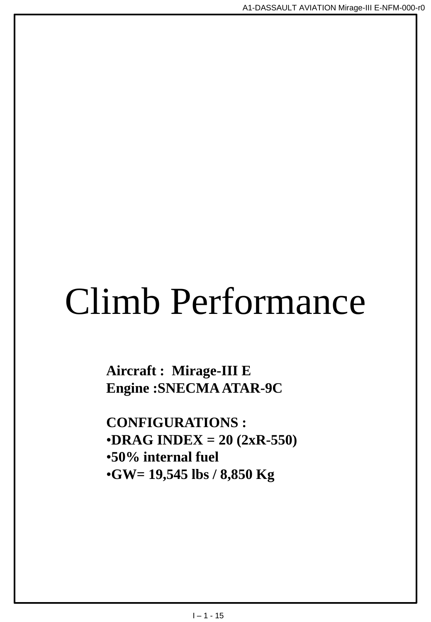# Climb Performance

**Aircraft : Mirage-III E Engine :SNECMA ATAR-9C**

**CONFIGURATIONS :** •**DRAG INDEX = 20 (2xR-550)** •**50% internal fuel** •**GW= 19,545 lbs / 8,850 Kg**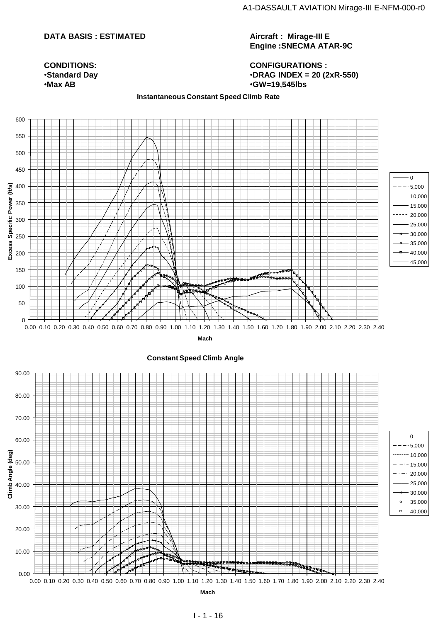#### **DATA BASIS : ESTIMATED**

**Aircraft : Mirage-III E Engine :SNECMA ATAR-9C**

**CONFIGURATIONS :** •**DRAG INDEX = 20 (2xR-550)** •**GW=19,545lbs**

#### **CONDITIONS:** •**Standard Day** •**Max AB**

#### **Instantaneous Constant Speed Climb Rate**

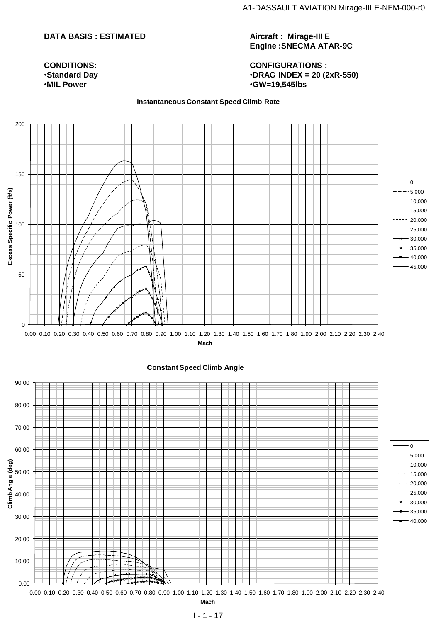#### **DATA BASIS : ESTIMATED**

**CONDITIONS:** •**Standard Day** •**MIL Power**

#### **Aircraft : Mirage-III E Engine :SNECMA ATAR-9C**

#### **CONFIGURATIONS :** •**DRAG INDEX = 20 (2xR-550)** •**GW=19,545lbs**

#### **Instantaneous Constant Speed Climb Rate**

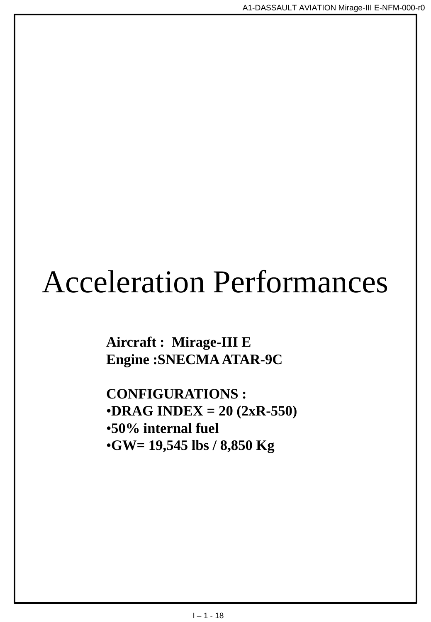## Acceleration Performances

**Aircraft : Mirage-III E Engine :SNECMA ATAR-9C**

**CONFIGURATIONS :** •**DRAG INDEX = 20 (2xR-550)** •**50% internal fuel** •**GW= 19,545 lbs / 8,850 Kg**